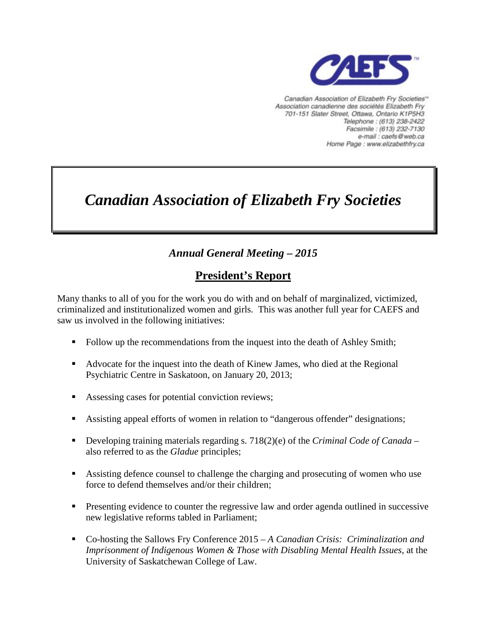

Canadian Association of Elizabeth Fry Societies<sup>16</sup> Association canadienne des sociétés Elizabeth Fry 701-151 Slater Street, Ottawa, Ontario K1P5H3 Telephone: (613) 238-2422 Facsimile: (613) 232-7130 e-mail : caefs@web.ca Home Page : www.elizabethfry.ca

# *Canadian Association of Elizabeth Fry Societies*

## *Annual General Meeting – 2015*

## **President's Report**

Many thanks to all of you for the work you do with and on behalf of marginalized, victimized, criminalized and institutionalized women and girls. This was another full year for CAEFS and saw us involved in the following initiatives:

- Follow up the recommendations from the inquest into the death of Ashley Smith;
- Advocate for the inquest into the death of Kinew James, who died at the Regional Psychiatric Centre in Saskatoon, on January 20, 2013;
- Assessing cases for potential conviction reviews;
- Assisting appeal efforts of women in relation to "dangerous offender" designations;
- Developing training materials regarding s. 718(2)(e) of the *Criminal Code of Canada* also referred to as the *Gladue* principles;
- Assisting defence counsel to challenge the charging and prosecuting of women who use force to defend themselves and/or their children;
- **Presenting evidence to counter the regressive law and order agenda outlined in successive** new legislative reforms tabled in Parliament;
- Co-hosting the Sallows Fry Conference 2015 *A Canadian Crisis: Criminalization and Imprisonment of Indigenous Women & Those with Disabling Mental Health Issues*, at the University of Saskatchewan College of Law.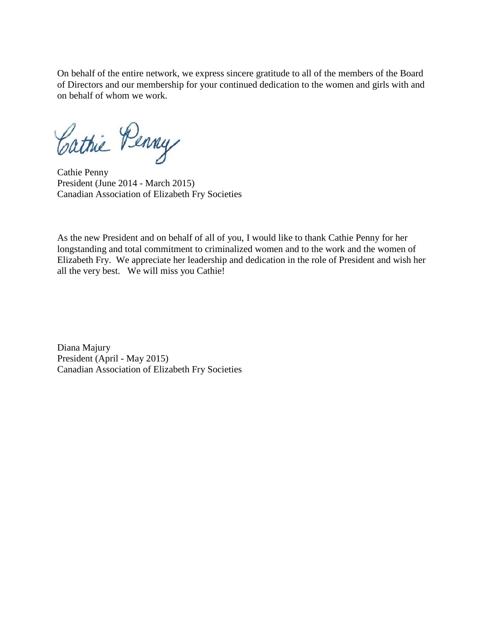On behalf of the entire network, we express sincere gratitude to all of the members of the Board of Directors and our membership for your continued dedication to the women and girls with and on behalf of whom we work.

Cathie Penny

Cathie Penny President (June 2014 - March 2015) Canadian Association of Elizabeth Fry Societies

As the new President and on behalf of all of you, I would like to thank Cathie Penny for her longstanding and total commitment to criminalized women and to the work and the women of Elizabeth Fry. We appreciate her leadership and dedication in the role of President and wish her all the very best. We will miss you Cathie!

Diana Majury President (April - May 2015) Canadian Association of Elizabeth Fry Societies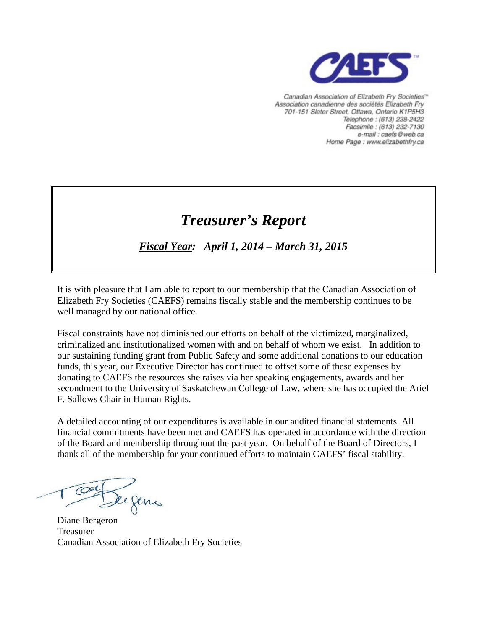

Canadian Association of Elizabeth Fry Societies<sup>16</sup> Association canadienne des sociétés Elizabeth Fry 701-151 Slater Street, Ottawa, Ontario K1P5H3 Telephone: (613) 238-2422 Facsimile : (613) 232-7130 e-mail : caefs@web.ca Home Page : www.elizabethfry.ca

## *Treasurer's Report*

*Fiscal Year: April 1, 2014 – March 31, 2015*

It is with pleasure that I am able to report to our membership that the Canadian Association of Elizabeth Fry Societies (CAEFS) remains fiscally stable and the membership continues to be well managed by our national office.

Fiscal constraints have not diminished our efforts on behalf of the victimized, marginalized, criminalized and institutionalized women with and on behalf of whom we exist. In addition to our sustaining funding grant from Public Safety and some additional donations to our education funds, this year, our Executive Director has continued to offset some of these expenses by donating to CAEFS the resources she raises via her speaking engagements, awards and her secondment to the University of Saskatchewan College of Law, where she has occupied the Ariel F. Sallows Chair in Human Rights.

A detailed accounting of our expenditures is available in our audited financial statements. All financial commitments have been met and CAEFS has operated in accordance with the direction of the Board and membership throughout the past year. On behalf of the Board of Directors, I thank all of the membership for your continued efforts to maintain CAEFS' fiscal stability.

De gens

Diane Bergeron Treasurer Canadian Association of Elizabeth Fry Societies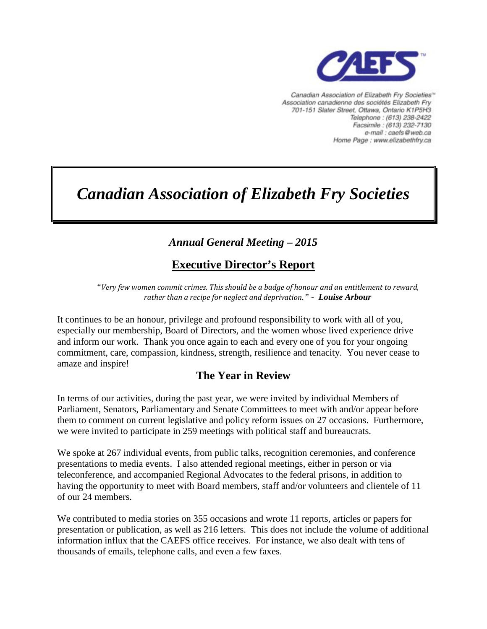

Canadian Association of Elizabeth Fry Societies" Association canadienne des sociétés Elizabeth Fry 701-151 Slater Street, Ottawa, Ontario K1P5H3 Telephone: (613) 238-2422 Facsimile: (613) 232-7130 e-mail : caefs@web.ca Home Page : www.elizabethfry.ca

# *Canadian Association of Elizabeth Fry Societies*

## *Annual General Meeting – 2015*

## **Executive Director's Report**

*"Very few women commit crimes. This should be a badge of honour and an entitlement to reward, rather than a recipe for neglect and deprivation." - Louise Arbour*

It continues to be an honour, privilege and profound responsibility to work with all of you, especially our membership, Board of Directors, and the women whose lived experience drive and inform our work. Thank you once again to each and every one of you for your ongoing commitment, care, compassion, kindness, strength, resilience and tenacity. You never cease to amaze and inspire!

### **The Year in Review**

In terms of our activities, during the past year, we were invited by individual Members of Parliament, Senators, Parliamentary and Senate Committees to meet with and/or appear before them to comment on current legislative and policy reform issues on 27 occasions. Furthermore, we were invited to participate in 259 meetings with political staff and bureaucrats.

We spoke at 267 individual events, from public talks, recognition ceremonies, and conference presentations to media events. I also attended regional meetings, either in person or via teleconference, and accompanied Regional Advocates to the federal prisons, in addition to having the opportunity to meet with Board members, staff and/or volunteers and clientele of 11 of our 24 members.

We contributed to media stories on 355 occasions and wrote 11 reports, articles or papers for presentation or publication, as well as 216 letters. This does not include the volume of additional information influx that the CAEFS office receives. For instance, we also dealt with tens of thousands of emails, telephone calls, and even a few faxes.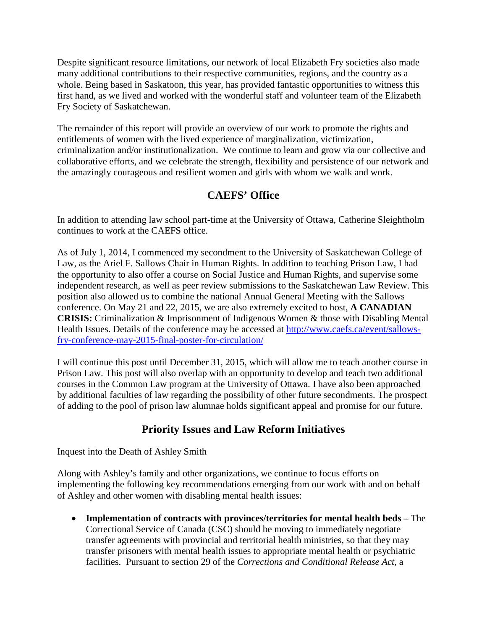Despite significant resource limitations, our network of local Elizabeth Fry societies also made many additional contributions to their respective communities, regions, and the country as a whole. Being based in Saskatoon, this year, has provided fantastic opportunities to witness this first hand, as we lived and worked with the wonderful staff and volunteer team of the Elizabeth Fry Society of Saskatchewan.

The remainder of this report will provide an overview of our work to promote the rights and entitlements of women with the lived experience of marginalization, victimization, criminalization and/or institutionalization. We continue to learn and grow via our collective and collaborative efforts, and we celebrate the strength, flexibility and persistence of our network and the amazingly courageous and resilient women and girls with whom we walk and work.

## **CAEFS' Office**

In addition to attending law school part-time at the University of Ottawa, Catherine Sleightholm continues to work at the CAEFS office.

As of July 1, 2014, I commenced my secondment to the University of Saskatchewan College of Law, as the Ariel F. Sallows Chair in Human Rights. In addition to teaching Prison Law, I had the opportunity to also offer a course on Social Justice and Human Rights, and supervise some independent research, as well as peer review submissions to the Saskatchewan Law Review. This position also allowed us to combine the national Annual General Meeting with the Sallows conference. On May 21 and 22, 2015, we are also extremely excited to host, **A CANADIAN CRISIS:** Criminalization & Imprisonment of Indigenous Women & those with Disabling Mental Health Issues. Details of the conference may be accessed at [http://www.caefs.ca/event/sallows](http://www.caefs.ca/event/sallows-fry-conference-may-2015-final-poster-for-circulation/)[fry-conference-may-2015-final-poster-for-circulation/](http://www.caefs.ca/event/sallows-fry-conference-may-2015-final-poster-for-circulation/)

I will continue this post until December 31, 2015, which will allow me to teach another course in Prison Law. This post will also overlap with an opportunity to develop and teach two additional courses in the Common Law program at the University of Ottawa. I have also been approached by additional faculties of law regarding the possibility of other future secondments. The prospect of adding to the pool of prison law alumnae holds significant appeal and promise for our future.

## **Priority Issues and Law Reform Initiatives**

#### Inquest into the Death of Ashley Smith

Along with Ashley's family and other organizations, we continue to focus efforts on implementing the following key recommendations emerging from our work with and on behalf of Ashley and other women with disabling mental health issues:

• **Implementation of contracts with provinces/territories for mental health beds –** The Correctional Service of Canada (CSC) should be moving to immediately negotiate transfer agreements with provincial and territorial health ministries, so that they may transfer prisoners with mental health issues to appropriate mental health or psychiatric facilities. Pursuant to section 29 of the *Corrections and Conditional Release Act,* a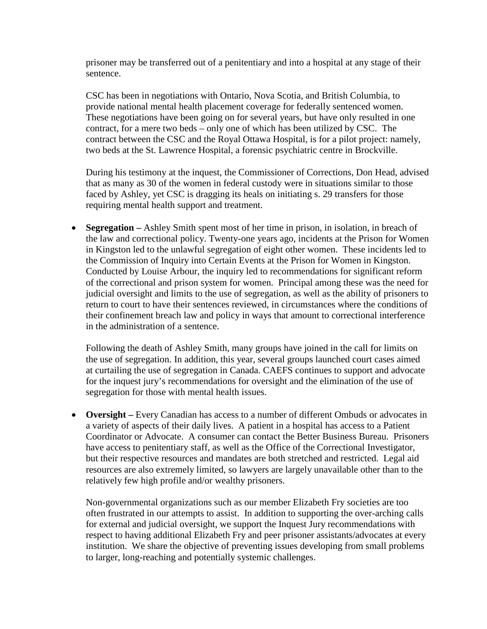prisoner may be transferred out of a penitentiary and into a hospital at any stage of their sentence.

CSC has been in negotiations with Ontario, Nova Scotia, and British Columbia, to provide national mental health placement coverage for federally sentenced women. These negotiations have been going on for several years, but have only resulted in one contract, for a mere two beds – only one of which has been utilized by CSC. The contract between the CSC and the Royal Ottawa Hospital, is for a pilot project: namely, two beds at the St. Lawrence Hospital, a forensic psychiatric centre in Brockville.

During his testimony at the inquest, the Commissioner of Corrections, Don Head, advised that as many as 30 of the women in federal custody were in situations similar to those faced by Ashley, yet CSC is dragging its heals on initiating s. 29 transfers for those requiring mental health support and treatment.

• **Segregation** – Ashley Smith spent most of her time in prison, in isolation, in breach of the law and correctional policy. Twenty-one years ago, incidents at the Prison for Women in Kingston led to the unlawful segregation of eight other women. These incidents led to the Commission of Inquiry into Certain Events at the Prison for Women in Kingston. Conducted by Louise Arbour, the inquiry led to recommendations for significant reform of the correctional and prison system for women. Principal among these was the need for judicial oversight and limits to the use of segregation, as well as the ability of prisoners to return to court to have their sentences reviewed, in circumstances where the conditions of their confinement breach law and policy in ways that amount to correctional interference in the administration of a sentence.

Following the death of Ashley Smith, many groups have joined in the call for limits on the use of segregation. In addition, this year, several groups launched court cases aimed at curtailing the use of segregation in Canada. CAEFS continues to support and advocate for the inquest jury's recommendations for oversight and the elimination of the use of segregation for those with mental health issues.

• **Oversight –** Every Canadian has access to a number of different Ombuds or advocates in a variety of aspects of their daily lives. A patient in a hospital has access to a Patient Coordinator or Advocate. A consumer can contact the Better Business Bureau. Prisoners have access to penitentiary staff, as well as the Office of the Correctional Investigator, but their respective resources and mandates are both stretched and restricted. Legal aid resources are also extremely limited, so lawyers are largely unavailable other than to the relatively few high profile and/or wealthy prisoners.

Non-governmental organizations such as our member Elizabeth Fry societies are too often frustrated in our attempts to assist. In addition to supporting the over-arching calls for external and judicial oversight, we support the Inquest Jury recommendations with respect to having additional Elizabeth Fry and peer prisoner assistants/advocates at every institution. We share the objective of preventing issues developing from small problems to larger, long-reaching and potentially systemic challenges.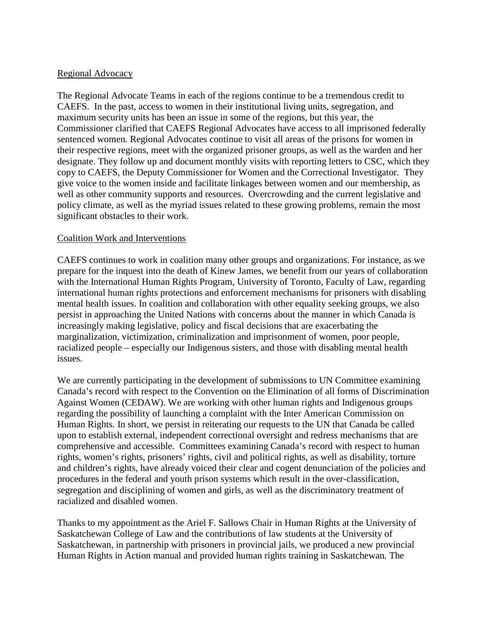#### Regional Advocacy

The Regional Advocate Teams in each of the regions continue to be a tremendous credit to CAEFS. In the past, access to women in their institutional living units, segregation, and maximum security units has been an issue in some of the regions, but this year, the Commissioner clarified that CAEFS Regional Advocates have access to all imprisoned federally sentenced women. Regional Advocates continue to visit all areas of the prisons for women in their respective regions, meet with the organized prisoner groups, as well as the warden and her designate. They follow up and document monthly visits with reporting letters to CSC, which they copy to CAEFS, the Deputy Commissioner for Women and the Correctional Investigator. They give voice to the women inside and facilitate linkages between women and our membership, as well as other community supports and resources. Overcrowding and the current legislative and policy climate, as well as the myriad issues related to these growing problems, remain the most significant obstacles to their work.

#### Coalition Work and Interventions

CAEFS continues to work in coalition many other groups and organizations. For instance, as we prepare for the inquest into the death of Kinew James, we benefit from our years of collaboration with the International Human Rights Program, University of Toronto, Faculty of Law, regarding international human rights protections and enforcement mechanisms for prisoners with disabling mental health issues. In coalition and collaboration with other equality seeking groups, we also persist in approaching the United Nations with concerns about the manner in which Canada is increasingly making legislative, policy and fiscal decisions that are exacerbating the marginalization, victimization, criminalization and imprisonment of women, poor people, racialized people – especially our Indigenous sisters, and those with disabling mental health issues.

We are currently participating in the development of submissions to UN Committee examining Canada's record with respect to the Convention on the Elimination of all forms of Discrimination Against Women (CEDAW). We are working with other human rights and Indigenous groups regarding the possibility of launching a complaint with the Inter American Commission on Human Rights. In short, we persist in reiterating our requests to the UN that Canada be called upon to establish external, independent correctional oversight and redress mechanisms that are comprehensive and accessible. Committees examining Canada's record with respect to human rights, women's rights, prisoners' rights, civil and political rights, as well as disability, torture and children's rights, have already voiced their clear and cogent denunciation of the policies and procedures in the federal and youth prison systems which result in the over-classification, segregation and disciplining of women and girls, as well as the discriminatory treatment of racialized and disabled women.

Thanks to my appointment as the Ariel F. Sallows Chair in Human Rights at the University of Saskatchewan College of Law and the contributions of law students at the University of Saskatchewan, in partnership with prisoners in provincial jails, we produced a new provincial Human Rights in Action manual and provided human rights training in Saskatchewan. The